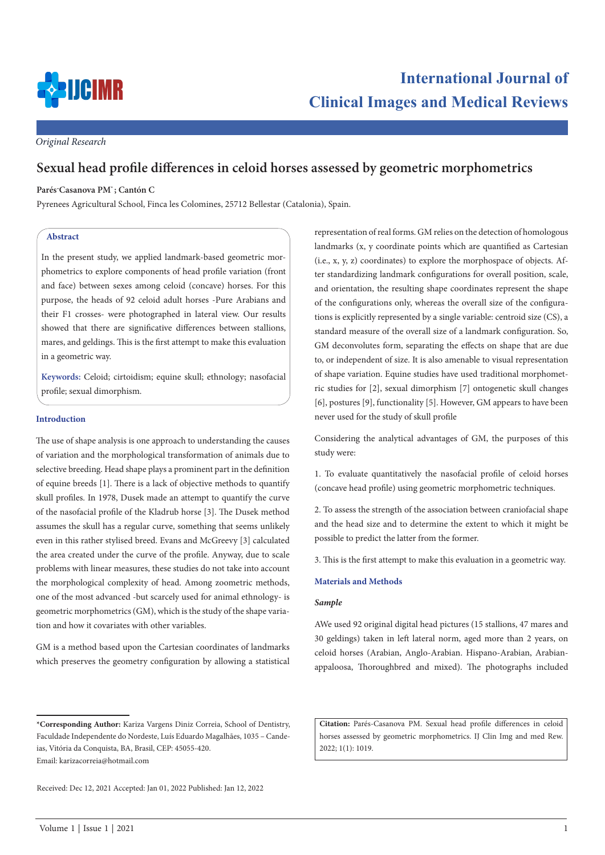

# **International Journal of Clinical Images and Medical Reviews**

*Original Research*

# **Sexual head profile differences in celoid horses assessed by geometric morphometrics**

## **Parés-Casanova PM\* ; Cantón C**

Pyrenees Agricultural School, Finca les Colomines, 25712 Bellestar (Catalonia), Spain.

## **Abstract**

In the present study, we applied landmark-based geometric morphometrics to explore components of head profile variation (front and face) between sexes among celoid (concave) horses. For this purpose, the heads of 92 celoid adult horses -Pure Arabians and their F1 crosses- were photographed in lateral view. Our results showed that there are significative differences between stallions, mares, and geldings. This is the first attempt to make this evaluation in a geometric way.

**Keywords:** Celoid; cirtoidism; equine skull; ethnology; nasofacial profile; sexual dimorphism.

# **Introduction**

The use of shape analysis is one approach to understanding the causes of variation and the morphological transformation of animals due to selective breeding. Head shape plays a prominent part in the definition of equine breeds [1]. There is a lack of objective methods to quantify skull profiles. In 1978, Dusek made an attempt to quantify the curve of the nasofacial profile of the Kladrub horse [3]. The Dusek method assumes the skull has a regular curve, something that seems unlikely even in this rather stylised breed. Evans and McGreevy [3] calculated the area created under the curve of the profile. Anyway, due to scale problems with linear measures, these studies do not take into account the morphological complexity of head. Among zoometric methods, one of the most advanced -but scarcely used for animal ethnology- is geometric morphometrics (GM), which is the study of the shape variation and how it covariates with other variables.

GM is a method based upon the Cartesian coordinates of landmarks which preserves the geometry configuration by allowing a statistical representation of real forms. GM relies on the detection of homologous landmarks (x, y coordinate points which are quantified as Cartesian (i.e., x, y, z) coordinates) to explore the morphospace of objects. After standardizing landmark configurations for overall position, scale, and orientation, the resulting shape coordinates represent the shape of the configurations only, whereas the overall size of the configurations is explicitly represented by a single variable: centroid size (CS), a standard measure of the overall size of a landmark configuration. So, GM deconvolutes form, separating the effects on shape that are due to, or independent of size. It is also amenable to visual representation of shape variation. Equine studies have used traditional morphometric studies for [2], sexual dimorphism [7] ontogenetic skull changes [6], postures [9], functionality [5]. However, GM appears to have been never used for the study of skull profile

Considering the analytical advantages of GM, the purposes of this study were:

1. To evaluate quantitatively the nasofacial profile of celoid horses (concave head profile) using geometric morphometric techniques.

2. To assess the strength of the association between craniofacial shape and the head size and to determine the extent to which it might be possible to predict the latter from the former.

3. This is the first attempt to make this evaluation in a geometric way.

#### **Materials and Methods**

## *Sample*

AWe used 92 original digital head pictures (15 stallions, 47 mares and 30 geldings) taken in left lateral norm, aged more than 2 years, on celoid horses (Arabian, Anglo-Arabian. Hispano-Arabian, Arabianappaloosa, Thoroughbred and mixed). The photographs included

**Citation:** Parés-Casanova PM. Sexual head profile differences in celoid horses assessed by geometric morphometrics. IJ Clin Img and med Rew. 2022; 1(1): 1019.

**<sup>\*</sup>Corresponding Author:** Kariza Vargens Diniz Correia, School of Dentistry, Faculdade Independente do Nordeste, Luís Eduardo Magalhães, 1035 – Candeias, Vitória da Conquista, BA, Brasil, CEP: 45055-420. Email: karizacorreia@hotmail.com

Received: Dec 12, 2021 Accepted: Jan 01, 2022 Published: Jan 12, 2022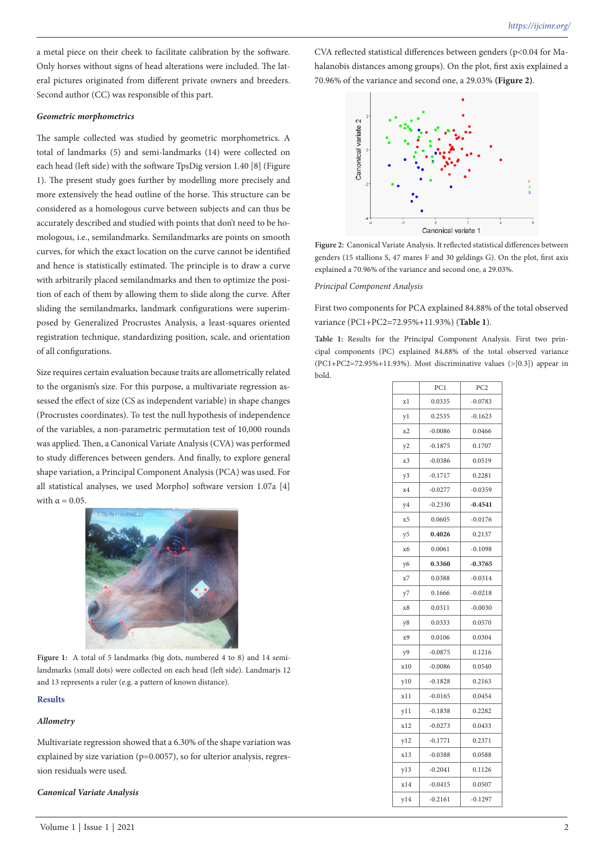a metal piece on their cheek to facilitate calibration by the software. Only horses without signs of head alterations were included. The lateral pictures originated from different private owners and breeders. Second author (CC) was responsible of this part.

#### *Geometric morphometrics*

The sample collected was studied by geometric morphometrics. A total of landmarks (5) and semi-landmarks (14) were collected on each head (left side) with the software TpsDig version 1.40 [8] (Figure 1). The present study goes further by modelling more precisely and more extensively the head outline of the horse. This structure can be considered as a homologous curve between subjects and can thus be accurately described and studied with points that don't need to be homologous, i.e., semilandmarks. Semilandmarks are points on smooth curves, for which the exact location on the curve cannot be identified and hence is statistically estimated. The principle is to draw a curve with arbitrarily placed semilandmarks and then to optimize the position of each of them by allowing them to slide along the curve. After sliding the semilandmarks, landmark configurations were superimposed by Generalized Procrustes Analysis, a least-squares oriented registration technique, standardizing position, scale, and orientation of all configurations.

Size requires certain evaluation because traits are allometrically related to the organism's size. For this purpose, a multivariate regression assessed the effect of size (CS as independent variable) in shape changes (Procrustes coordinates). To test the null hypothesis of independence of the variables, a non-parametric permutation test of 10,000 rounds was applied. Then, a Canonical Variate Analysis (CVA) was performed to study differences between genders. And finally, to explore general shape variation, a Principal Component Analysis (PCA) was used. For all statistical analyses, we used MorphoJ software version 1.07a [4] with  $\alpha = 0.05$ .



Figure 1: A total of 5 landmarks (big dots, numbered 4 to 8) and 14 semilandmarks (small dots) were collected on each head (left side). Landmarjs 12 and 13 represents a ruler (e.g. a pattern of known distance).

#### **Results**

#### *Allometry*

Multivariate regression showed that a 6.30% of the shape variation was explained by size variation (p=0.0057), so for ulterior analysis, regression residuals were used.

#### *Canonical Variate Analysis*

Volume 1 | Issue 1 | 2021 2

CVA reflected statistical differences between genders (p<0.04 for Mahalanobis distances among groups). On the plot, first axis explained a 70.96% of the variance and second one, a 29.03% **(Figure 2)**.



**Figure 2:** Canonical Variate Analysis. It reflected statistical differences between genders (15 stallions S, 47 mares F and 30 geldings G). On the plot, first axis explained a 70.96% of the variance and second one, a 29.03%.

#### *Principal Component Analysis*

First two components for PCA explained 84.88% of the total observed variance (PC1+PC2=72.95%+11.93%) (**Table 1**).

**Table 1:** Results for the Principal Component Analysis. First two principal components (PC) explained 84.88% of the total observed variance (PC1+PC2=72.95%+11.93%). Most discriminative values  $(>[0.3])$  appear in bold.

|     | PC1       | PC <sub>2</sub> |
|-----|-----------|-----------------|
| x1  | 0.0335    | $-0.0783$       |
| y1  | 0.2535    | $-0.1623$       |
| x2  | $-0.0086$ | 0.0466          |
| y2  | $-0.1875$ | 0.1707          |
| x3  | $-0.0386$ | 0.0519          |
| y3  | $-0.1717$ | 0.2281          |
| x4  | $-0.0277$ | $-0.0359$       |
| y4  | $-0.2330$ | $-0.4541$       |
| x5  | 0.0605    | $-0.0176$       |
| y5  | 0.4026    | 0.2137          |
| х6  | 0.0061    | $-0.1098$       |
| y6  | 0.3360    | $-0.3765$       |
| x7  | 0.0388    | $-0.0314$       |
| y7  | 0.1666    | $-0.0218$       |
| x8  | 0.0311    | $-0.0030$       |
| y8  | 0.0333    | 0.0570          |
| x9  | 0.0106    | 0.0304          |
| y9  | $-0.0875$ | 0.1216          |
| x10 | $-0.0086$ | 0.0540          |
| y10 | $-0.1828$ | 0.2163          |
| x11 | $-0.0165$ | 0.0454          |
| y11 | $-0.1838$ | 0.2282          |
| x12 | $-0.0273$ | 0.0433          |
| y12 | $-0.1771$ | 0.2371          |
| x13 | $-0.0388$ | 0.0588          |
| y13 | $-0.2041$ | 0.1126          |
| x14 | $-0.0415$ | 0.0507          |
| y14 | $-0.2161$ | $-0.1297$       |
|     |           |                 |